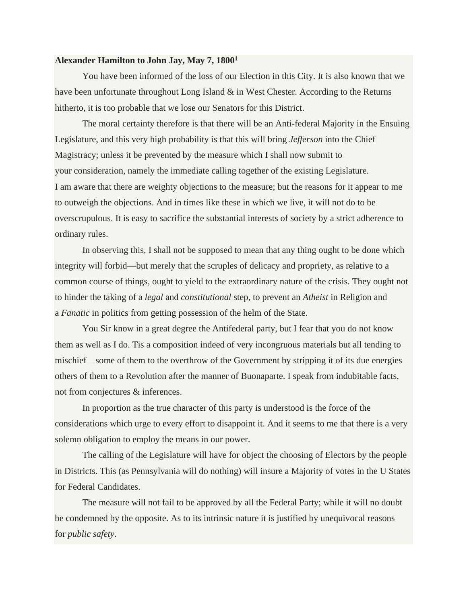## **Alexander Hamilton to John Jay, May 7, 1800<sup>1</sup>**

You have been informed of the loss of our Election in this City. It is also known that we have been unfortunate throughout Long Island & in West Chester. According to the Returns hitherto, it is too probable that we lose our Senators for this District.

The moral certainty therefore is that there will be an Anti-federal Majority in the Ensuing Legislature, and this very high probability is that this will bring *Jefferson* into the Chief Magistracy; unless it be prevented by the measure which I shall now submit to your consideration, namely the immediate calling together of the existing Legislature. I am aware that there are weighty objections to the measure; but the reasons for it appear to me to outweigh the objections. And in times like these in which we live, it will not do to be overscrupulous. It is easy to sacrifice the substantial interests of society by a strict adherence to ordinary rules.

In observing this, I shall not be supposed to mean that any thing ought to be done which integrity will forbid—but merely that the scruples of delicacy and propriety, as relative to a common course of things, ought to yield to the extraordinary nature of the crisis. They ought not to hinder the taking of a *legal* and *constitutional* step, to prevent an *Atheist* in Religion and a *Fanatic* in politics from getting possession of the helm of the State.

You Sir know in a great degree the Antifederal party, but I fear that you do not know them as well as I do. Tis a composition indeed of very incongruous materials but all tending to mischief—some of them to the overthrow of the Government by stripping it of its due energies others of them to a Revolution after the manner of Buonaparte. I speak from indubitable facts, not from conjectures & inferences.

In proportion as the true character of this party is understood is the force of the considerations which urge to every effort to disappoint it. And it seems to me that there is a very solemn obligation to employ the means in our power.

The calling of the Legislature will have for object the choosing of Electors by the people in Districts. This (as Pennsylvania will do nothing) will insure a Majority of votes in the U States for Federal Candidates.

The measure will not fail to be approved by all the Federal Party; while it will no doubt be condemned by the opposite. As to its intrinsic nature it is justified by unequivocal reasons for *public safety*.